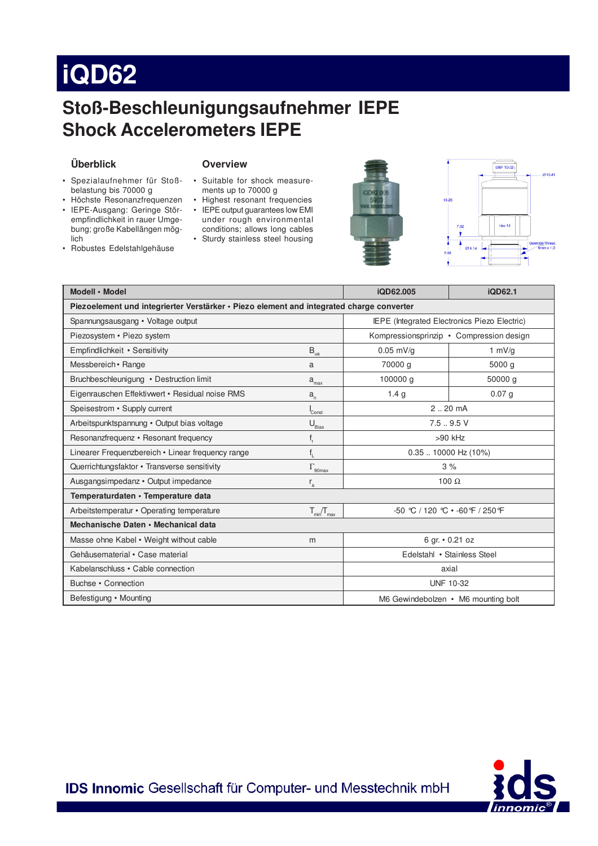# **iQD62**

### Stoß-Beschleunigungsaufnehmer IEPE **Shock Accelerometers IEPE**

### Überblick

### **Overview**

- · Spezialaufnehmer für Stoßbelastung bis 70000 g
- Höchste Resonanzfrequenzen · IEPE-Ausgang: Geringe Störempfindlichkeit in rauer Umgebung; große Kabellängen möglich
- Robustes Edelstahlgehäuse
- · Suitable for shock measurements up to 70000 g
- Highest resonant frequencies • IEPE output guarantees low EMI under rough environmental conditions; allows long cables
- Sturdy stainless steel housing





| Modell · Model                                                                           |                                 | iQD62.005                                    | iQD62.1           |
|------------------------------------------------------------------------------------------|---------------------------------|----------------------------------------------|-------------------|
| Piezoelement und integrierter Verstärker · Piezo element and integrated charge converter |                                 |                                              |                   |
| Spannungsausgang • Voltage output                                                        |                                 | IEPE (Integrated Electronics Piezo Electric) |                   |
| Piezosystem • Piezo system                                                               |                                 | Kompressionsprinzip • Compression design     |                   |
| Empfindlichkeit • Sensitivity                                                            | $\mathsf{B}_{_{\mathsf{ua}}}$   | $0.05$ mV/g                                  | 1 $mV/g$          |
| Messbereich • Range                                                                      | a                               | 70000 g                                      | 5000 g            |
| Bruchbeschleunigung • Destruction limit                                                  | $a_{\rm max}$                   | 100000 g                                     | 50000 a           |
| Eigenrauschen Effektiwert · Residual noise RMS                                           | $a_{n}$                         | 1.4 <sub>g</sub>                             | 0.07 <sub>g</sub> |
| Speisestrom • Supply current                                                             | Const                           | $2.20 \text{ mA}$                            |                   |
| Arbeitspunktspannung · Output bias voltage                                               | $\mathsf{U}_{\text{Bias}}$      | $7.5-.9.5V$                                  |                   |
| Resonanzfrequenz • Resonant frequency                                                    |                                 | $>90$ kHz                                    |                   |
| Linearer Frequenzbereich • Linear frequency range                                        |                                 | $0.35$ 10000 Hz (10%)                        |                   |
| Querrichtungsfaktor • Transverse sensitivity                                             | $\Gamma_{\text{90max}}$         | 3%                                           |                   |
| Ausgangsimpedanz · Output impedance                                                      | $r_{\rm a}$                     | 100 $\Omega$                                 |                   |
| Temperaturdaten · Temperature data                                                       |                                 |                                              |                   |
| Arbeitstemperatur • Operating temperature                                                | $T_{\text{min}}/T_{\text{max}}$ | $-50$ °C / 120 °C $\cdot$ -60 °F / 250 °F    |                   |
| Mechanische Daten • Mechanical data                                                      |                                 |                                              |                   |
| Masse ohne Kabel • Weight without cable                                                  | m                               | 6 gr. • 0.21 oz                              |                   |
| Gehäusematerial • Case material                                                          |                                 | Edelstahl • Stainless Steel                  |                   |
| Kabelanschluss • Cable connection                                                        |                                 | axial                                        |                   |
| Buchse • Connection                                                                      |                                 | <b>UNF 10-32</b>                             |                   |
| Befestigung • Mounting                                                                   |                                 | M6 Gewindebolzen • M6 mounting bolt          |                   |



IDS Innomic Gesellschaft für Computer- und Messtechnik mbH